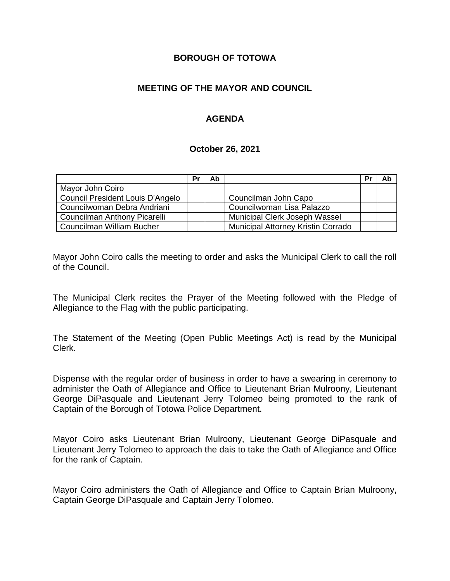### **BOROUGH OF TOTOWA**

## **MEETING OF THE MAYOR AND COUNCIL**

## **AGENDA**

### **October 26, 2021**

|                                  | Pr | Ab |                                    | Pr | Ab |
|----------------------------------|----|----|------------------------------------|----|----|
| Mayor John Coiro                 |    |    |                                    |    |    |
| Council President Louis D'Angelo |    |    | Councilman John Capo               |    |    |
| Councilwoman Debra Andriani      |    |    | Councilwoman Lisa Palazzo          |    |    |
| Councilman Anthony Picarelli     |    |    | Municipal Clerk Joseph Wassel      |    |    |
| Councilman William Bucher        |    |    | Municipal Attorney Kristin Corrado |    |    |

Mayor John Coiro calls the meeting to order and asks the Municipal Clerk to call the roll of the Council.

The Municipal Clerk recites the Prayer of the Meeting followed with the Pledge of Allegiance to the Flag with the public participating.

The Statement of the Meeting (Open Public Meetings Act) is read by the Municipal Clerk.

Dispense with the regular order of business in order to have a swearing in ceremony to administer the Oath of Allegiance and Office to Lieutenant Brian Mulroony, Lieutenant George DiPasquale and Lieutenant Jerry Tolomeo being promoted to the rank of Captain of the Borough of Totowa Police Department.

Mayor Coiro asks Lieutenant Brian Mulroony, Lieutenant George DiPasquale and Lieutenant Jerry Tolomeo to approach the dais to take the Oath of Allegiance and Office for the rank of Captain.

Mayor Coiro administers the Oath of Allegiance and Office to Captain Brian Mulroony, Captain George DiPasquale and Captain Jerry Tolomeo.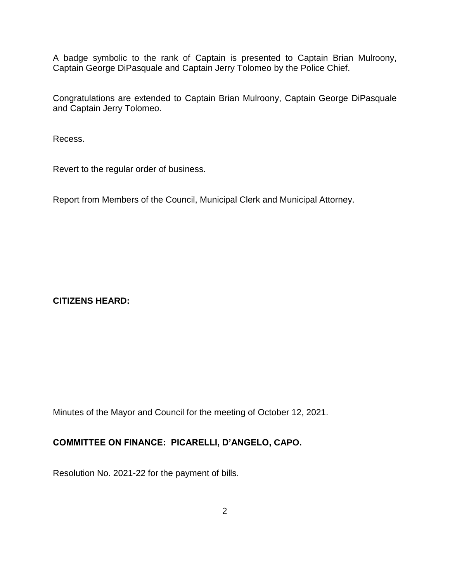A badge symbolic to the rank of Captain is presented to Captain Brian Mulroony, Captain George DiPasquale and Captain Jerry Tolomeo by the Police Chief.

Congratulations are extended to Captain Brian Mulroony, Captain George DiPasquale and Captain Jerry Tolomeo.

Recess.

Revert to the regular order of business.

Report from Members of the Council, Municipal Clerk and Municipal Attorney.

**CITIZENS HEARD:**

Minutes of the Mayor and Council for the meeting of October 12, 2021.

# **COMMITTEE ON FINANCE: PICARELLI, D'ANGELO, CAPO.**

Resolution No. 2021-22 for the payment of bills.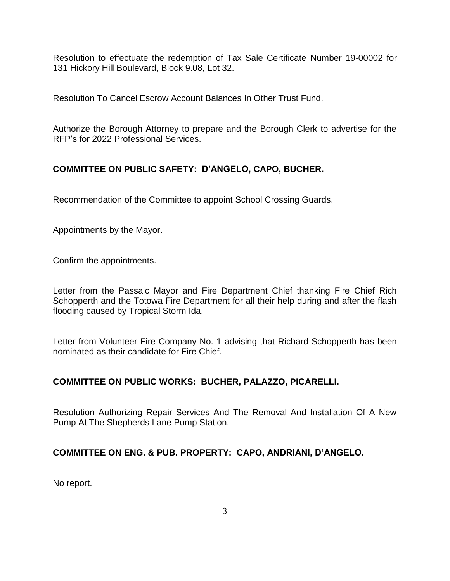Resolution to effectuate the redemption of Tax Sale Certificate Number 19-00002 for 131 Hickory Hill Boulevard, Block 9.08, Lot 32.

Resolution To Cancel Escrow Account Balances In Other Trust Fund.

Authorize the Borough Attorney to prepare and the Borough Clerk to advertise for the RFP's for 2022 Professional Services.

# **COMMITTEE ON PUBLIC SAFETY: D'ANGELO, CAPO, BUCHER.**

Recommendation of the Committee to appoint School Crossing Guards.

Appointments by the Mayor.

Confirm the appointments.

Letter from the Passaic Mayor and Fire Department Chief thanking Fire Chief Rich Schopperth and the Totowa Fire Department for all their help during and after the flash flooding caused by Tropical Storm Ida.

Letter from Volunteer Fire Company No. 1 advising that Richard Schopperth has been nominated as their candidate for Fire Chief.

# **COMMITTEE ON PUBLIC WORKS: BUCHER, PALAZZO, PICARELLI.**

Resolution Authorizing Repair Services And The Removal And Installation Of A New Pump At The Shepherds Lane Pump Station.

# **COMMITTEE ON ENG. & PUB. PROPERTY: CAPO, ANDRIANI, D'ANGELO.**

No report.